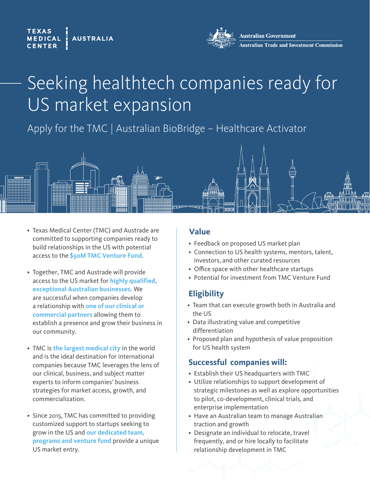#### **TEXAS AUSTRALIA MEDICAL**



**Australian Government** ustralian Trade and Investment Commission

# Seeking healthtech companies ready for US market expansion

Apply for the TMC | Australian BioBridge – Healthcare Activator



- Texas Medical Center (TMC) and Austrade are committed to supporting companies ready to build relationships in the US with potential access to the **\$50M TMC Venture Fund**.
- Together, TMC and Austrade will provide access to the US market for **highly qualified, exceptional Australian businesses.** We are successful when companies develop a relationship with **one of our clinical or commercial partners** allowing them to establish a presence and grow their business in our community.
- TMC is **the largest medical city** in the world and is the ideal destination for international companies because TMC leverages the lens of our clinical, business, and subject matter experts to inform companies' business strategies for market access, growth, and commercialization.
- Since 2015, TMC has committed to providing customized support to startups seeking to grow in the US and **our dedicated team, programs and venture fund** provide a unique US market entry.

# **Value**

- Feedback on proposed US market plan
- Connection to US health systems, mentors, talent, investors, and other curated resources
- Office space with other healthcare startups
- Potential for investment from TMC Venture Fund

# **Eligibility**

- Team that can execute growth both in Australia and the US
- Data illustrating value and competitive differentiation
- Proposed plan and hypothesis of value proposition for US health system

# **Successful companies will:**

- Establish their US headquarters with TMC
- Utilize relationships to support development of strategic milestones as well as explore opportunities to pilot, co-development, clinical trials, and enterprise implementation
- Have an Australian team to manage Australian traction and growth
- Designate an individual to relocate, travel frequently, and or hire locally to facilitate relationship development in TMC